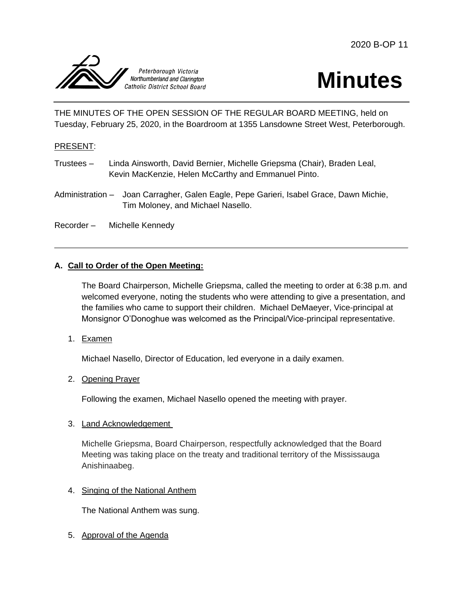



THE MINUTES OF THE OPEN SESSION OF THE REGULAR BOARD MEETING, held on Tuesday, February 25, 2020, in the Boardroom at 1355 Lansdowne Street West, Peterborough.

#### PRESENT:

- Trustees Linda Ainsworth, David Bernier, Michelle Griepsma (Chair), Braden Leal, Kevin MacKenzie, Helen McCarthy and Emmanuel Pinto.
- Administration Joan Carragher, Galen Eagle, Pepe Garieri, Isabel Grace, Dawn Michie, Tim Moloney, and Michael Nasello.

Recorder – Michelle Kennedy

#### **A. Call to Order of the Open Meeting:**

The Board Chairperson, Michelle Griepsma, called the meeting to order at 6:38 p.m. and welcomed everyone, noting the students who were attending to give a presentation, and the families who came to support their children. Michael DeMaeyer, Vice-principal at Monsignor O'Donoghue was welcomed as the Principal/Vice-principal representative.

1. Examen

Michael Nasello, Director of Education, led everyone in a daily examen.

2. Opening Prayer

Following the examen, Michael Nasello opened the meeting with prayer.

3. Land Acknowledgement

Michelle Griepsma, Board Chairperson, respectfully acknowledged that the Board Meeting was taking place on the treaty and traditional territory of the Mississauga Anishinaabeg.

4. Singing of the National Anthem

The National Anthem was sung.

5. Approval of the Agenda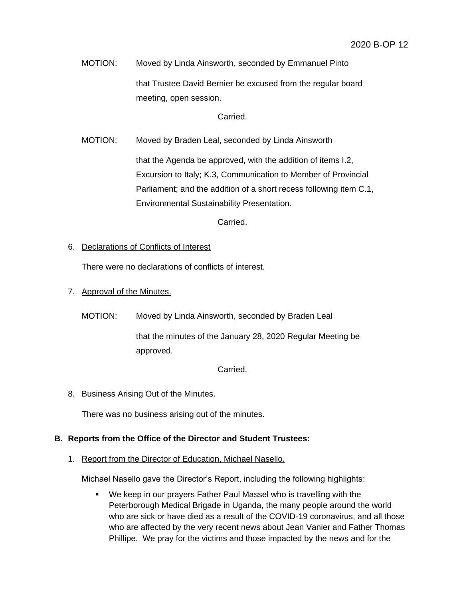MOTION: Moved by Linda Ainsworth, seconded by Emmanuel Pinto that Trustee David Bernier be excused from the regular board meeting, open session.

Carried.

MOTION: Moved by Braden Leal, seconded by Linda Ainsworth

that the Agenda be approved, with the addition of items I.2, Excursion to Italy; K.3, Communication to Member of Provincial Parliament; and the addition of a short recess following item C.1, Environmental Sustainability Presentation.

Carried.

### 6. Declarations of Conflicts of Interest

There were no declarations of conflicts of interest.

### 7. Approval of the Minutes.

MOTION: Moved by Linda Ainsworth, seconded by Braden Leal

that the minutes of the January 28, 2020 Regular Meeting be approved.

Carried.

#### 8. Business Arising Out of the Minutes.

There was no business arising out of the minutes.

#### **B. Reports from the Office of the Director and Student Trustees:**

1. Report from the Director of Education, Michael Nasello.

Michael Nasello gave the Director's Report, including the following highlights:

 We keep in our prayers Father Paul Massel who is travelling with the Peterborough Medical Brigade in Uganda, the many people around the world who are sick or have died as a result of the COVID-19 coronavirus, and all those who are affected by the very recent news about Jean Vanier and Father Thomas Phillipe. We pray for the victims and those impacted by the news and for the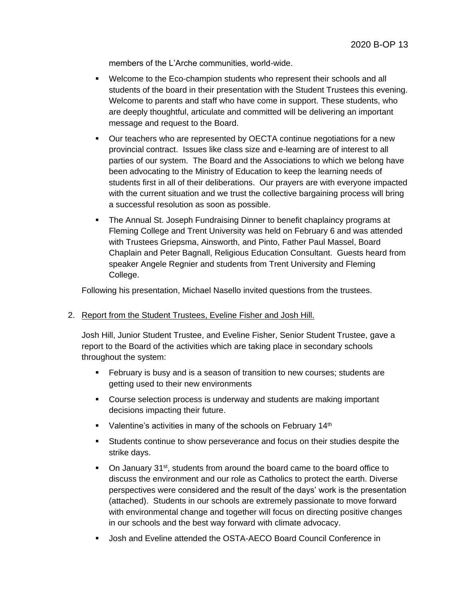members of the L'Arche communities, world-wide.

- Welcome to the Eco-champion students who represent their schools and all students of the board in their presentation with the Student Trustees this evening. Welcome to parents and staff who have come in support. These students, who are deeply thoughtful, articulate and committed will be delivering an important message and request to the Board.
- Our teachers who are represented by OECTA continue negotiations for a new provincial contract. Issues like class size and e-learning are of interest to all parties of our system. The Board and the Associations to which we belong have been advocating to the Ministry of Education to keep the learning needs of students first in all of their deliberations. Our prayers are with everyone impacted with the current situation and we trust the collective bargaining process will bring a successful resolution as soon as possible.
- **The Annual St. Joseph Fundraising Dinner to benefit chaplaincy programs at** Fleming College and Trent University was held on February 6 and was attended with Trustees Griepsma, Ainsworth, and Pinto, Father Paul Massel, Board Chaplain and Peter Bagnall, Religious Education Consultant. Guests heard from speaker Angele Regnier and students from Trent University and Fleming College.

Following his presentation, Michael Nasello invited questions from the trustees.

#### 2. Report from the Student Trustees, Eveline Fisher and Josh Hill.

Josh Hill, Junior Student Trustee, and Eveline Fisher, Senior Student Trustee, gave a report to the Board of the activities which are taking place in secondary schools throughout the system:

- February is busy and is a season of transition to new courses; students are getting used to their new environments
- **Course selection process is underway and students are making important** decisions impacting their future.
- $\blacksquare$  Valentine's activities in many of the schools on February 14<sup>th</sup>
- Students continue to show perseverance and focus on their studies despite the strike days.
- On January 31<sup>st</sup>, students from around the board came to the board office to discuss the environment and our role as Catholics to protect the earth. Diverse perspectives were considered and the result of the days' work is the presentation (attached). Students in our schools are extremely passionate to move forward with environmental change and together will focus on directing positive changes in our schools and the best way forward with climate advocacy.
- Josh and Eveline attended the OSTA-AECO Board Council Conference in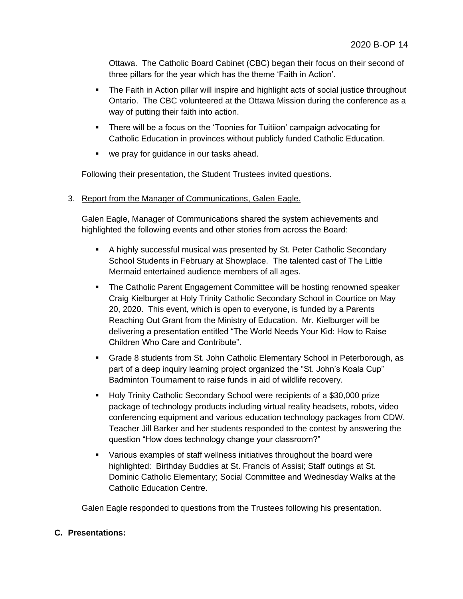Ottawa. The Catholic Board Cabinet (CBC) began their focus on their second of three pillars for the year which has the theme 'Faith in Action'.

- The Faith in Action pillar will inspire and highlight acts of social justice throughout Ontario. The CBC volunteered at the Ottawa Mission during the conference as a way of putting their faith into action.
- There will be a focus on the 'Toonies for Tuitiion' campaign advocating for Catholic Education in provinces without publicly funded Catholic Education.
- we pray for guidance in our tasks ahead.

Following their presentation, the Student Trustees invited questions.

3. Report from the Manager of Communications, Galen Eagle.

Galen Eagle, Manager of Communications shared the system achievements and highlighted the following events and other stories from across the Board:

- A highly successful musical was presented by St. Peter Catholic Secondary School Students in February at Showplace. The talented cast of The Little Mermaid entertained audience members of all ages.
- The Catholic Parent Engagement Committee will be hosting renowned speaker Craig Kielburger at Holy Trinity Catholic Secondary School in Courtice on May 20, 2020. This event, which is open to everyone, is funded by a Parents Reaching Out Grant from the Ministry of Education. Mr. Kielburger will be delivering a presentation entitled "The World Needs Your Kid: How to Raise Children Who Care and Contribute".
- Grade 8 students from St. John Catholic Elementary School in Peterborough, as part of a deep inquiry learning project organized the "St. John's Koala Cup" Badminton Tournament to raise funds in aid of wildlife recovery.
- **Holy Trinity Catholic Secondary School were recipients of a \$30,000 prize** package of technology products including virtual reality headsets, robots, video conferencing equipment and various education technology packages from CDW. Teacher Jill Barker and her students responded to the contest by answering the question "How does technology change your classroom?"
- Various examples of staff wellness initiatives throughout the board were highlighted: Birthday Buddies at St. Francis of Assisi; Staff outings at St. Dominic Catholic Elementary; Social Committee and Wednesday Walks at the Catholic Education Centre.

Galen Eagle responded to questions from the Trustees following his presentation.

## **C. Presentations:**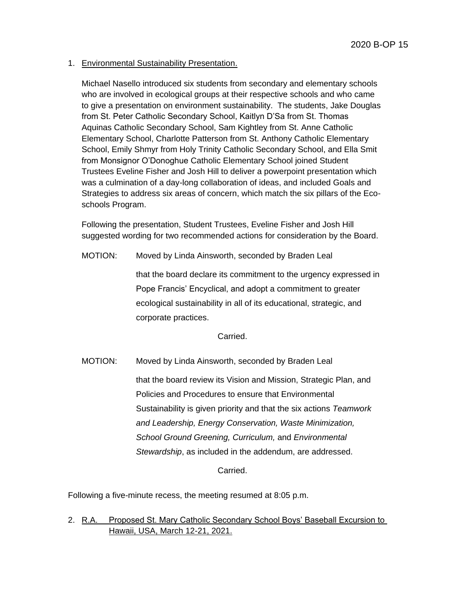### 1. Environmental Sustainability Presentation.

Michael Nasello introduced six students from secondary and elementary schools who are involved in ecological groups at their respective schools and who came to give a presentation on environment sustainability. The students, Jake Douglas from St. Peter Catholic Secondary School, Kaitlyn D'Sa from St. Thomas Aquinas Catholic Secondary School, Sam Kightley from St. Anne Catholic Elementary School, Charlotte Patterson from St. Anthony Catholic Elementary School, Emily Shmyr from Holy Trinity Catholic Secondary School, and Ella Smit from Monsignor O'Donoghue Catholic Elementary School joined Student Trustees Eveline Fisher and Josh Hill to deliver a powerpoint presentation which was a culmination of a day-long collaboration of ideas, and included Goals and Strategies to address six areas of concern, which match the six pillars of the Ecoschools Program.

Following the presentation, Student Trustees, Eveline Fisher and Josh Hill suggested wording for two recommended actions for consideration by the Board.

MOTION: Moved by Linda Ainsworth, seconded by Braden Leal

that the board declare its commitment to the urgency expressed in Pope Francis' Encyclical, and adopt a commitment to greater ecological sustainability in all of its educational, strategic, and corporate practices.

Carried.

MOTION: Moved by Linda Ainsworth, seconded by Braden Leal that the board review its Vision and Mission, Strategic Plan, and Policies and Procedures to ensure that Environmental Sustainability is given priority and that the six actions *Teamwork and Leadership, Energy Conservation, Waste Minimization, School Ground Greening, Curriculum,* and *Environmental Stewardship*, as included in the addendum, are addressed.

Carried.

Following a five-minute recess, the meeting resumed at 8:05 p.m.

2. R.A. Proposed St. Mary Catholic Secondary School Boys' Baseball Excursion to Hawaii, USA, March 12-21, 2021.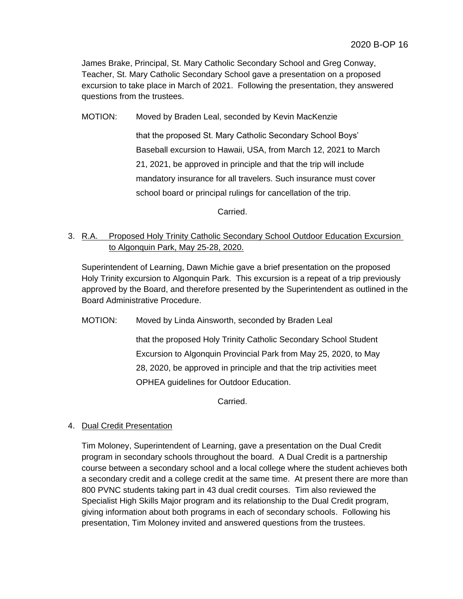James Brake, Principal, St. Mary Catholic Secondary School and Greg Conway, Teacher, St. Mary Catholic Secondary School gave a presentation on a proposed excursion to take place in March of 2021. Following the presentation, they answered questions from the trustees.

MOTION: Moved by Braden Leal, seconded by Kevin MacKenzie

that the proposed St. Mary Catholic Secondary School Boys' Baseball excursion to Hawaii, USA, from March 12, 2021 to March 21, 2021, be approved in principle and that the trip will include mandatory insurance for all travelers. Such insurance must cover school board or principal rulings for cancellation of the trip.

Carried.

# 3. R.A. Proposed Holy Trinity Catholic Secondary School Outdoor Education Excursion to Algonquin Park, May 25-28, 2020.

Superintendent of Learning, Dawn Michie gave a brief presentation on the proposed Holy Trinity excursion to Algonquin Park. This excursion is a repeat of a trip previously approved by the Board, and therefore presented by the Superintendent as outlined in the Board Administrative Procedure.

MOTION: Moved by Linda Ainsworth, seconded by Braden Leal

that the proposed Holy Trinity Catholic Secondary School Student Excursion to Algonquin Provincial Park from May 25, 2020, to May 28, 2020, be approved in principle and that the trip activities meet OPHEA guidelines for Outdoor Education.

Carried.

## 4. Dual Credit Presentation

Tim Moloney, Superintendent of Learning, gave a presentation on the Dual Credit program in secondary schools throughout the board. A Dual Credit is a partnership course between a secondary school and a local college where the student achieves both a secondary credit and a college credit at the same time. At present there are more than 800 PVNC students taking part in 43 dual credit courses. Tim also reviewed the Specialist High Skills Major program and its relationship to the Dual Credit program, giving information about both programs in each of secondary schools. Following his presentation, Tim Moloney invited and answered questions from the trustees.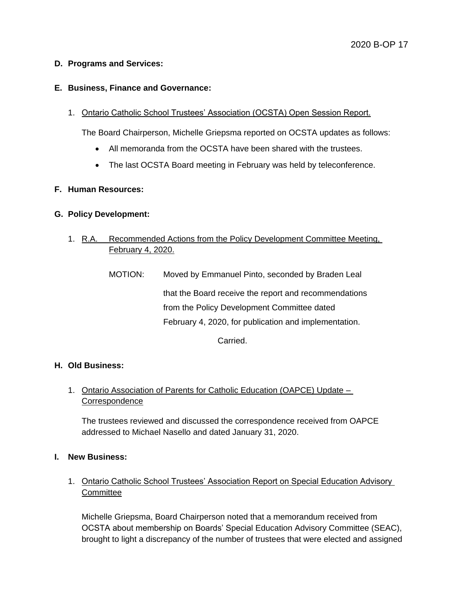### **D. Programs and Services:**

### **E. Business, Finance and Governance:**

1. Ontario Catholic School Trustees' Association (OCSTA) Open Session Report.

The Board Chairperson, Michelle Griepsma reported on OCSTA updates as follows:

- All memoranda from the OCSTA have been shared with the trustees.
- The last OCSTA Board meeting in February was held by teleconference.

### **F. Human Resources:**

### **G. Policy Development:**

- 1. R.A. Recommended Actions from the Policy Development Committee Meeting, February 4, 2020.
	- MOTION: Moved by Emmanuel Pinto, seconded by Braden Leal that the Board receive the report and recommendations from the Policy Development Committee dated February 4, 2020, for publication and implementation.

Carried.

#### **H. Old Business:**

1. Ontario Association of Parents for Catholic Education (OAPCE) Update -**Correspondence** 

The trustees reviewed and discussed the correspondence received from OAPCE addressed to Michael Nasello and dated January 31, 2020.

#### **I. New Business:**

1. Ontario Catholic School Trustees' Association Report on Special Education Advisory **Committee** 

Michelle Griepsma, Board Chairperson noted that a memorandum received from OCSTA about membership on Boards' Special Education Advisory Committee (SEAC), brought to light a discrepancy of the number of trustees that were elected and assigned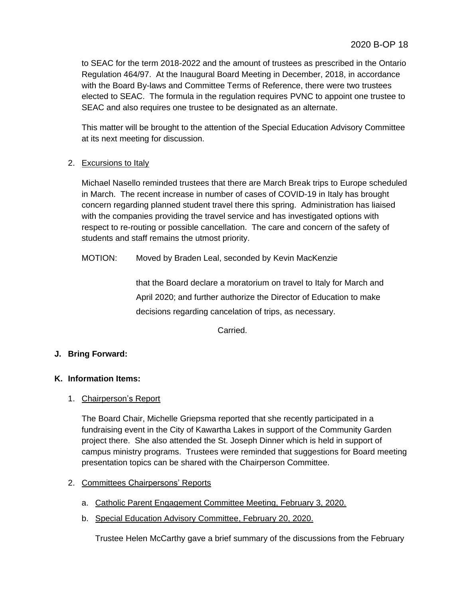to SEAC for the term 2018-2022 and the amount of trustees as prescribed in the Ontario Regulation 464/97. At the Inaugural Board Meeting in December, 2018, in accordance with the Board By-laws and Committee Terms of Reference, there were two trustees elected to SEAC. The formula in the regulation requires PVNC to appoint one trustee to SEAC and also requires one trustee to be designated as an alternate.

This matter will be brought to the attention of the Special Education Advisory Committee at its next meeting for discussion.

## 2. Excursions to Italy

Michael Nasello reminded trustees that there are March Break trips to Europe scheduled in March. The recent increase in number of cases of COVID-19 in Italy has brought concern regarding planned student travel there this spring. Administration has liaised with the companies providing the travel service and has investigated options with respect to re-routing or possible cancellation. The care and concern of the safety of students and staff remains the utmost priority.

## MOTION: Moved by Braden Leal, seconded by Kevin MacKenzie

that the Board declare a moratorium on travel to Italy for March and April 2020; and further authorize the Director of Education to make decisions regarding cancelation of trips, as necessary.

Carried.

## **J. Bring Forward:**

## **K. Information Items:**

## 1. Chairperson's Report

The Board Chair, Michelle Griepsma reported that she recently participated in a fundraising event in the City of Kawartha Lakes in support of the Community Garden project there. She also attended the St. Joseph Dinner which is held in support of campus ministry programs. Trustees were reminded that suggestions for Board meeting presentation topics can be shared with the Chairperson Committee.

## 2. Committees Chairpersons' Reports

- a. Catholic Parent Engagement Committee Meeting, February 3, 2020.
- b. Special Education Advisory Committee, February 20, 2020.

Trustee Helen McCarthy gave a brief summary of the discussions from the February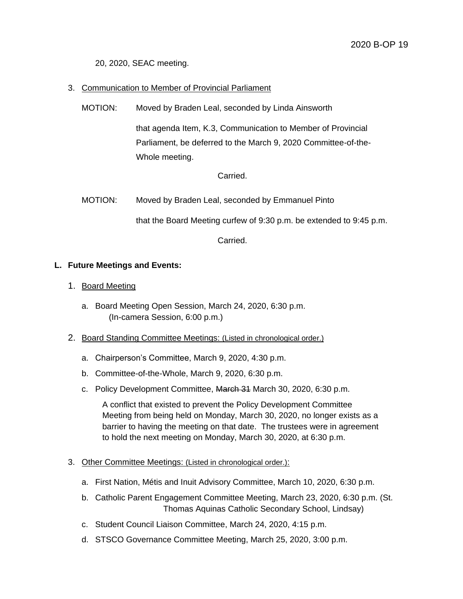20, 2020, SEAC meeting.

### 3. Communication to Member of Provincial Parliament

MOTION: Moved by Braden Leal, seconded by Linda Ainsworth

that agenda Item, K.3, Communication to Member of Provincial Parliament, be deferred to the March 9, 2020 Committee-of-the-Whole meeting.

Carried.

MOTION: Moved by Braden Leal, seconded by Emmanuel Pinto

that the Board Meeting curfew of 9:30 p.m. be extended to 9:45 p.m.

Carried.

#### **L. Future Meetings and Events:**

- 1. Board Meeting
	- a. Board Meeting Open Session, March 24, 2020, 6:30 p.m. (In-camera Session, 6:00 p.m.)
- 2. Board Standing Committee Meetings: (Listed in chronological order.)
	- a. Chairperson's Committee, March 9, 2020, 4:30 p.m.
	- b. Committee-of-the-Whole, March 9, 2020, 6:30 p.m.
	- c. Policy Development Committee, March 31 March 30, 2020, 6:30 p.m.

A conflict that existed to prevent the Policy Development Committee Meeting from being held on Monday, March 30, 2020, no longer exists as a barrier to having the meeting on that date. The trustees were in agreement to hold the next meeting on Monday, March 30, 2020, at 6:30 p.m.

- 3. Other Committee Meetings: (Listed in chronological order.):
	- a. First Nation, Métis and Inuit Advisory Committee, March 10, 2020, 6:30 p.m.
	- b. Catholic Parent Engagement Committee Meeting, March 23, 2020, 6:30 p.m. (St. Thomas Aquinas Catholic Secondary School, Lindsay)
	- c. Student Council Liaison Committee, March 24, 2020, 4:15 p.m.
	- d. STSCO Governance Committee Meeting, March 25, 2020, 3:00 p.m.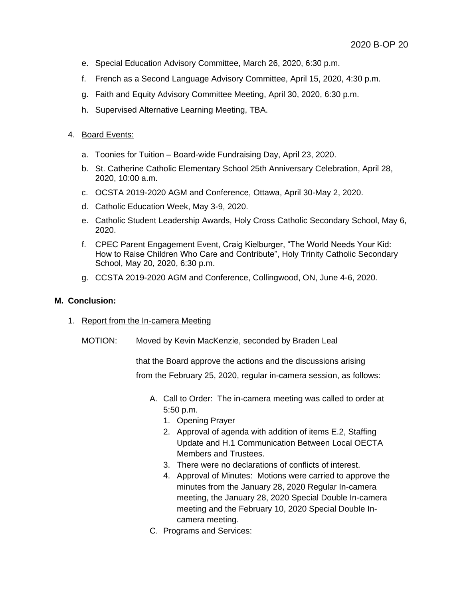- e. Special Education Advisory Committee, March 26, 2020, 6:30 p.m.
- f. French as a Second Language Advisory Committee, April 15, 2020, 4:30 p.m.
- g. Faith and Equity Advisory Committee Meeting, April 30, 2020, 6:30 p.m.
- h. Supervised Alternative Learning Meeting, TBA.

#### 4. Board Events:

- a. Toonies for Tuition Board-wide Fundraising Day, April 23, 2020.
- b. St. Catherine Catholic Elementary School 25th Anniversary Celebration, April 28, 2020, 10:00 a.m.
- c. OCSTA 2019-2020 AGM and Conference, Ottawa, April 30-May 2, 2020.
- d. Catholic Education Week, May 3-9, 2020.
- e. Catholic Student Leadership Awards, Holy Cross Catholic Secondary School, May 6, 2020.
- f. CPEC Parent Engagement Event, Craig Kielburger, "The World Needs Your Kid: How to Raise Children Who Care and Contribute", Holy Trinity Catholic Secondary School, May 20, 2020, 6:30 p.m.
- g. CCSTA 2019-2020 AGM and Conference, Collingwood, ON, June 4-6, 2020.

#### **M. Conclusion:**

- 1. Report from the In-camera Meeting
	- MOTION: Moved by Kevin MacKenzie, seconded by Braden Leal

that the Board approve the actions and the discussions arising from the February 25, 2020, regular in-camera session, as follows:

- A. Call to Order: The in-camera meeting was called to order at 5:50 p.m.
	- 1. Opening Prayer
	- 2. Approval of agenda with addition of items E.2, Staffing Update and H.1 Communication Between Local OECTA Members and Trustees.
	- 3. There were no declarations of conflicts of interest.
	- 4. Approval of Minutes: Motions were carried to approve the minutes from the January 28, 2020 Regular In-camera meeting, the January 28, 2020 Special Double In-camera meeting and the February 10, 2020 Special Double Incamera meeting.
- C. Programs and Services: